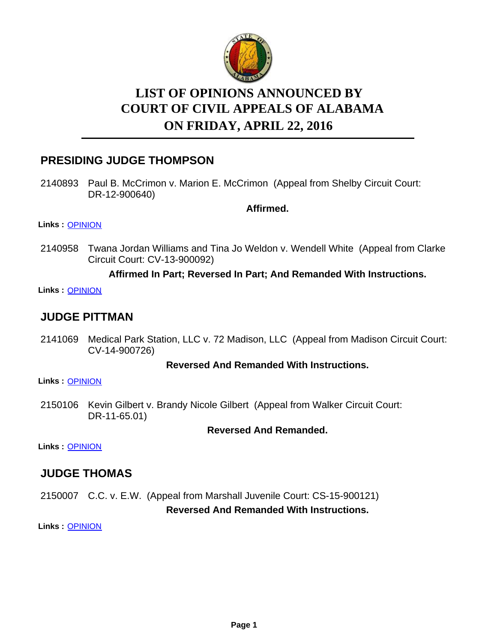

# **LIST OF OPINIONS ANNOUNCED BY ON FRIDAY, APRIL 22, 2016 COURT OF CIVIL APPEALS OF ALABAMA**

# **PRESIDING JUDGE THOMPSON**

2140893 Paul B. McCrimon v. Marion E. McCrimon (Appeal from Shelby Circuit Court: DR-12-900640)

**Affirmed.**

### **Links :** [OPINION](https://acis.alabama.gov/displaydocs.cfm?no=731205&event=4M90KHID6)

2140958 Twana Jordan Williams and Tina Jo Weldon v. Wendell White (Appeal from Clarke Circuit Court: CV-13-900092)

# **Affirmed In Part; Reversed In Part; And Remanded With Instructions.**

**Links :** [OPINION](https://acis.alabama.gov/displaydocs.cfm?no=731206&event=4M90KHIJA)

# **JUDGE PITTMAN**

2141069 Medical Park Station, LLC v. 72 Madison, LLC (Appeal from Madison Circuit Court: CV-14-900726)

## **Reversed And Remanded With Instructions.**

**Links :** [OPINION](https://acis.alabama.gov/displaydocs.cfm?no=731208&event=4M90KHJW9)

2150106 Kevin Gilbert v. Brandy Nicole Gilbert (Appeal from Walker Circuit Court: DR-11-65.01)

## **Reversed And Remanded.**

**Links :** [OPINION](https://acis.alabama.gov/displaydocs.cfm?no=731212&event=4M90KHKKY)

# **JUDGE THOMAS**

2150007 C.C. v. E.W. (Appeal from Marshall Juvenile Court: CS-15-900121) **Reversed And Remanded With Instructions.**

**Links :** [OPINION](https://acis.alabama.gov/displaydocs.cfm?no=731209&event=4M90KHK2B)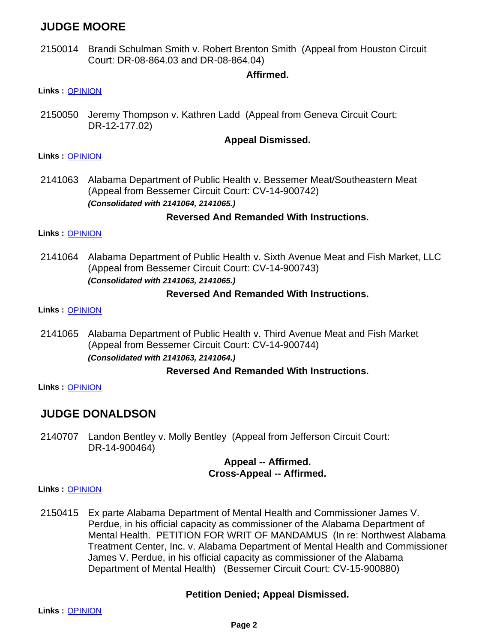# **JUDGE MOORE**

2150014 Brandi Schulman Smith v. Robert Brenton Smith (Appeal from Houston Circuit Court: DR-08-864.03 and DR-08-864.04)

## **Affirmed.**

#### **Links :** [OPINION](https://acis.alabama.gov/displaydocs.cfm?no=731210&event=4M90KHK8S)

2150050 Jeremy Thompson v. Kathren Ladd (Appeal from Geneva Circuit Court: DR-12-177.02)

### **Appeal Dismissed.**

#### **Links :** [OPINION](https://acis.alabama.gov/displaydocs.cfm?no=731211&event=4M90KHKEV)

2141063 Alabama Department of Public Health v. Bessemer Meat/Southeastern Meat (Appeal from Bessemer Circuit Court: CV-14-900742) *(Consolidated with 2141064, 2141065.)*

### **Reversed And Remanded With Instructions.**

#### **Links :** [OPINION](https://acis.alabama.gov/displaydocs.cfm?no=731207&event=4M90KHIPR)

2141064 Alabama Department of Public Health v. Sixth Avenue Meat and Fish Market, LLC (Appeal from Bessemer Circuit Court: CV-14-900743) *(Consolidated with 2141063, 2141065.)*

### **Reversed And Remanded With Instructions.**

**Links :** [OPINION](https://acis.alabama.gov/displaydocs.cfm?no=731207&event=4M90KHIPR)

2141065 Alabama Department of Public Health v. Third Avenue Meat and Fish Market (Appeal from Bessemer Circuit Court: CV-14-900744) *(Consolidated with 2141063, 2141064.)*

#### **Reversed And Remanded With Instructions.**

**Links :** [OPINION](https://acis.alabama.gov/displaydocs.cfm?no=731207&event=4M90KHIPR)

# **JUDGE DONALDSON**

2140707 Landon Bentley v. Molly Bentley (Appeal from Jefferson Circuit Court: DR-14-900464)

#### **Appeal -- Affirmed. Cross-Appeal -- Affirmed.**

#### **Links :** [OPINION](https://acis.alabama.gov/displaydocs.cfm?no=731204&event=4M90KHI6A)

Ex parte Alabama Department of Mental Health and Commissioner James V. Perdue, in his official capacity as commissioner of the Alabama Department of Mental Health. PETITION FOR WRIT OF MANDAMUS (In re: Northwest Alabama Treatment Center, Inc. v. Alabama Department of Mental Health and Commissioner James V. Perdue, in his official capacity as commissioner of the Alabama Department of Mental Health) (Bessemer Circuit Court: CV-15-900880) 2150415

#### **Petition Denied; Appeal Dismissed.**